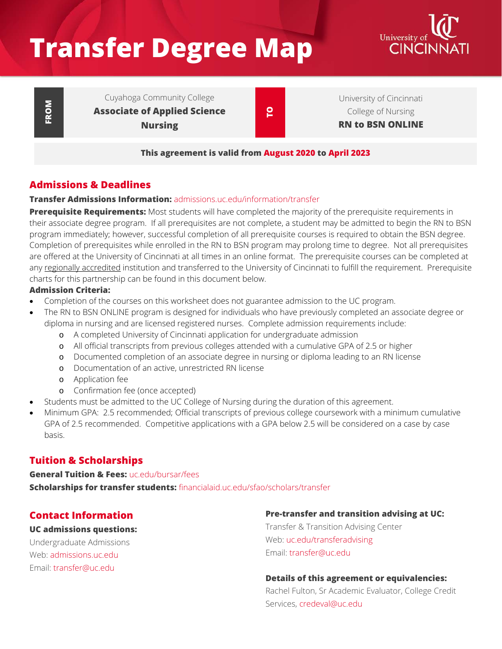# **Transfer Degree Map**



**FROM**

Cuyahoga Community College **Associate of Applied Science Nursing**

**TO**

University of Cincinnati College of Nursing **RN to BSN ONLINE**

**This agreement is valid from August 2020 to April 2023**

## **Admissions & Deadlines**

## **Transfer Admissions Information:** [admissions.uc.edu/information/transfer](https://admissions.uc.edu/information/transfer.html)

**Prerequisite Requirements:** Most students will have completed the majority of the prerequisite requirements in their associate degree program. If all prerequisites are not complete, a student may be admitted to begin the RN to BSN program immediately; however, successful completion of all prerequisite courses is required to obtain the BSN degree. Completion of prerequisites while enrolled in the RN to BSN program may prolong time to degree. Not all prerequisites are offered at the University of Cincinnati at all times in an online format. The prerequisite courses can be completed at any regionally accredited institution and transferred to the University of Cincinnati to fulfill the requirement. Prerequisite charts for this partnership can be found in this document below.

#### **Admission Criteria:**

- Completion of the courses on this worksheet does not guarantee admission to the UC program.
- The RN to BSN ONLINE program is designed for individuals who have previously completed an associate degree or diploma in nursing and are licensed registered nurses. Complete admission requirements include:
	- o A completed University of Cincinnati application for undergraduate admission
	- o All official transcripts from previous colleges attended with a cumulative GPA of 2.5 or higher
	- o Documented completion of an associate degree in nursing or diploma leading to an RN license
	- o Documentation of an active, unrestricted RN license
	- o Application fee
	- o Confirmation fee (once accepted)
- Students must be admitted to the UC College of Nursing during the duration of this agreement.
- Minimum GPA: 2.5 recommended; Official transcripts of previous college coursework with a minimum cumulative GPA of 2.5 recommended. Competitive applications with a GPA below 2.5 will be considered on a case by case basis.

# **Tuition & Scholarships**

## **General Tuition & Fees:** [uc.edu/bursar/fees](https://www.uc.edu/bursar/fees.html) **Scholarships for transfer students:** [financialaid.uc.edu/sfao/scholars/transfer](https://financialaid.uc.edu/sfao/scholars/transfer)

## **Contact Information**

#### **UC admissions questions:**

Undergraduate Admissions Web: [admissions.uc.edu](https://admissions.uc.edu/) Email: [transfer@uc.edu](mailto:transfer@uc.edu)

## **Pre-transfer and transition advising at UC:**

Transfer & Transition Advising Center Web: [uc.edu/transferadvising](https://www.uc.edu/transferadvising.html) Email: [transfer@uc.edu](mailto:transfer@uc.edu)

#### **Details of this agreement or equivalencies:**

Rachel Fulton, Sr Academic Evaluator, College Credit Services, [credeval@uc.edu](mailto:credeval@uc.edu)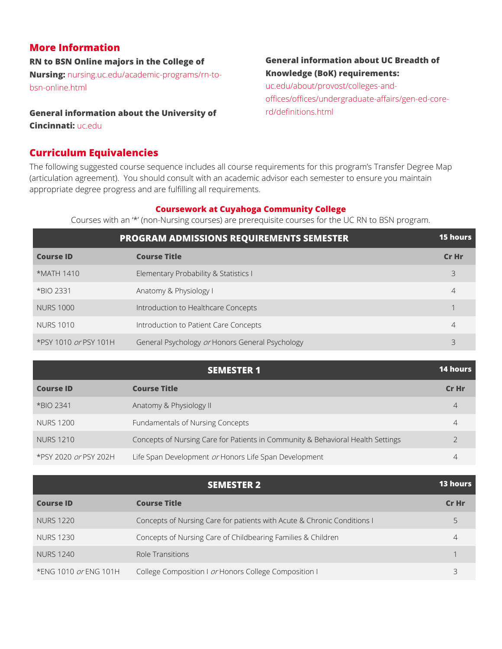## **More Information**

**RN to BSN Online majors in the College of** 

**Nursing:** [nursing.uc.edu/academic-programs/rn-to](http://nursing.uc.edu/academic-programs/rn-to-bsn-online.html)[bsn-online.html](http://nursing.uc.edu/academic-programs/rn-to-bsn-online.html)

## **General information about the University of**

**Cincinnati:** [uc.edu](https://www.uc.edu/)

## **Curriculum Equivalencies**

## **General information about UC Breadth of Knowledge (BoK) requirements:**

[uc.edu/about/provost/colleges-and](http://uc.edu/about/provost/colleges-and-offices/offices/undergraduate-affairs/gen-ed-core-rd/definitions.html)[offices/offices/undergraduate-affairs/gen-ed-core](http://uc.edu/about/provost/colleges-and-offices/offices/undergraduate-affairs/gen-ed-core-rd/definitions.html)[rd/definitions.html](http://uc.edu/about/provost/colleges-and-offices/offices/undergraduate-affairs/gen-ed-core-rd/definitions.html)

The following suggested course sequence includes all course requirements for this program's Transfer Degree Map (articulation agreement). You should consult with an academic advisor each semester to ensure you maintain appropriate degree progress and are fulfilling all requirements.

## **Coursework at Cuyahoga Community College**

Courses with an '\*' (non-Nursing courses) are prerequisite courses for the UC RN to BSN program.

|                       | <b>PROGRAM ADMISSIONS REQUIREMENTS SEMESTER</b> | <b>15 hours</b> |
|-----------------------|-------------------------------------------------|-----------------|
| <b>Course ID</b>      | <b>Course Title</b>                             | Cr Hr           |
| *MATH 1410            | Elementary Probability & Statistics I           | 3               |
| *BIO 2331             | Anatomy & Physiology I                          |                 |
| <b>NURS 1000</b>      | Introduction to Healthcare Concepts             |                 |
| NURS 1010             | Introduction to Patient Care Concepts           | 4               |
| *PSY 1010 or PSY 101H | General Psychology or Honors General Psychology |                 |

|                       | <b>SEMESTER 1</b>                                                               | <b>14 hours</b> |
|-----------------------|---------------------------------------------------------------------------------|-----------------|
| <b>Course ID</b>      | <b>Course Title</b>                                                             | Cr Hr           |
| *BIO 2341             | Anatomy & Physiology II                                                         | 4               |
| <b>NURS 1200</b>      | Fundamentals of Nursing Concepts                                                |                 |
| <b>NURS 1210</b>      | Concepts of Nursing Care for Patients in Community & Behavioral Health Settings |                 |
| *PSY 2020 or PSY 202H | Life Span Development or Honors Life Span Development                           |                 |

|                       | <b>SEMESTER 2</b>                                                       | <b>13 hours</b> |
|-----------------------|-------------------------------------------------------------------------|-----------------|
| <b>Course ID</b>      | <b>Course Title</b>                                                     | Cr Hr           |
| <b>NURS 1220</b>      | Concepts of Nursing Care for patients with Acute & Chronic Conditions I |                 |
| <b>NURS 1230</b>      | Concepts of Nursing Care of Childbearing Families & Children            |                 |
| <b>NURS 1240</b>      | Role Transitions                                                        |                 |
| *ENG 1010 or ENG 101H | College Composition I or Honors College Composition I                   |                 |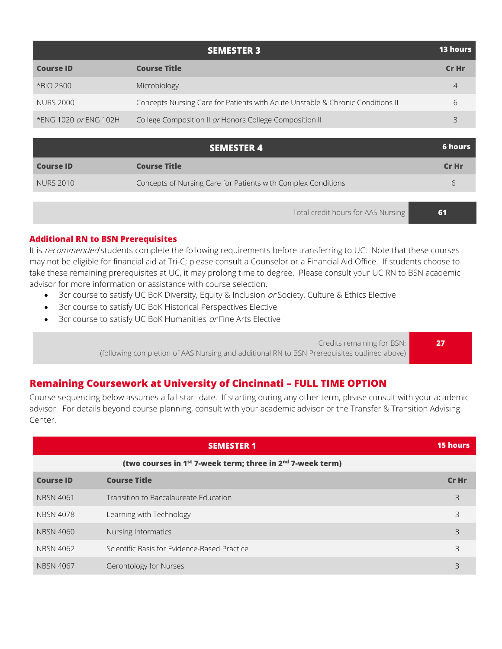|                       | <b>SEMESTER 3</b>                                                              | <b>13 hours</b> |
|-----------------------|--------------------------------------------------------------------------------|-----------------|
| <b>Course ID</b>      | <b>Course Title</b>                                                            | Cr Hr           |
| *BIO 2500             | Microbiology                                                                   | 4               |
| <b>NURS 2000</b>      | Concepts Nursing Care for Patients with Acute Unstable & Chronic Conditions II | h               |
| *ENG 1020 or ENG 102H | College Composition II or Honors College Composition II                        | コ               |
|                       |                                                                                |                 |

|                  | <b>SEMESTER 4</b>                                             | <b>6 hours</b> |
|------------------|---------------------------------------------------------------|----------------|
| <b>Course ID</b> | <b>Course Title</b>                                           | Cr Hr          |
| NURS 2010        | Concepts of Nursing Care for Patients with Complex Conditions | h              |
|                  |                                                               |                |

Total credit hours for AAS Nursing **61**

#### **Additional RN to BSN Prerequisites**

It is recommended students complete the following requirements before transferring to UC. Note that these courses may not be eligible for financial aid at Tri-C; please consult a Counselor or a Financial Aid Office. If students choose to take these remaining prerequisites at UC, it may prolong time to degree. Please consult your UC RN to BSN academic advisor for more information or assistance with course selection.

- 3cr course to satisfy UC BoK Diversity, Equity & Inclusion or Society, Culture & Ethics Elective
- 3cr course to satisfy UC BoK Historical Perspectives Elective
- 3cr course to satisfy UC BoK Humanities or Fine Arts Elective

Credits remaining for BSN: (following completion of AAS Nursing and additional RN to BSN Prerequisites outlined above)

**Remaining Coursework at University of Cincinnati – FULL TIME OPTION**

Course sequencing below assumes a fall start date. If starting during any other term, please consult with your academic advisor. For details beyond course planning, consult with your academic advisor or the Transfer & Transition Advising Center.

|                  | <b>SEMESTER 1</b>                                                                  | <b>15 hours</b> |
|------------------|------------------------------------------------------------------------------------|-----------------|
|                  | (two courses in 1 <sup>st</sup> 7-week term; three in 2 <sup>nd</sup> 7-week term) |                 |
| <b>Course ID</b> | <b>Course Title</b>                                                                | Cr Hr           |
| <b>NBSN 4061</b> | Transition to Baccalaureate Education                                              | 3               |
| <b>NBSN 4078</b> | Learning with Technology                                                           | 3               |
| <b>NBSN 4060</b> | Nursing Informatics                                                                | 3               |
| <b>NBSN 4062</b> | Scientific Basis for Evidence-Based Practice                                       | 3               |
| <b>NBSN 4067</b> | Gerontology for Nurses                                                             | 3               |

**27**